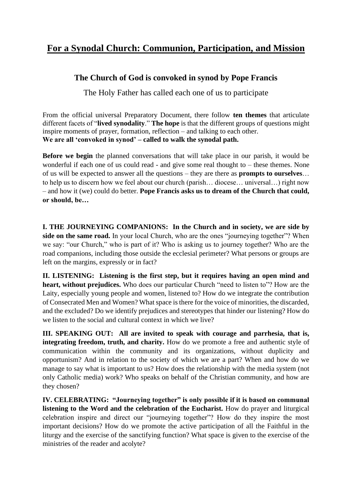## **For a Synodal Church: Communion, Participation, and Mission**

## **The Church of God is convoked in synod by Pope Francis**

The Holy Father has called each one of us to participate

From the official universal Preparatory Document, there follow **ten themes** that articulate different facets of "**lived synodality**." **The hope** is that the different groups of questions might inspire moments of prayer, formation, reflection – and talking to each other. **We are all 'convoked in synod' – called to walk the synodal path.**

**Before we begin** the planned conversations that will take place in our parish, it would be wonderful if each one of us could read - and give some real thought to – these themes. None of us will be expected to answer all the questions – they are there as **prompts to ourselves**… to help us to discern how we feel about our church (parish… diocese… universal…) right now – and how it (we) could do better. **Pope Francis asks us to dream of the Church that could, or should, be…**

**I. THE JOURNEYING COMPANIONS: In the Church and in society, we are side by**  side on the same road. In your local Church, who are the ones "journeying together"? When we say: "our Church," who is part of it? Who is asking us to journey together? Who are the road companions, including those outside the ecclesial perimeter? What persons or groups are left on the margins, expressly or in fact?

**II. LISTENING: Listening is the first step, but it requires having an open mind and heart, without prejudices.** Who does our particular Church "need to listen to"? How are the Laity, especially young people and women, listened to? How do we integrate the contribution of Consecrated Men and Women? What space is there for the voice of minorities, the discarded, and the excluded? Do we identify prejudices and stereotypes that hinder our listening? How do we listen to the social and cultural context in which we live?

**III. SPEAKING OUT: All are invited to speak with courage and parrhesia, that is, integrating freedom, truth, and charity.** How do we promote a free and authentic style of communication within the community and its organizations, without duplicity and opportunism? And in relation to the society of which we are a part? When and how do we manage to say what is important to us? How does the relationship with the media system (not only Catholic media) work? Who speaks on behalf of the Christian community, and how are they chosen?

**IV. CELEBRATING: "Journeying together" is only possible if it is based on communal listening to the Word and the celebration of the Eucharist.** How do prayer and liturgical celebration inspire and direct our "journeying together"? How do they inspire the most important decisions? How do we promote the active participation of all the Faithful in the liturgy and the exercise of the sanctifying function? What space is given to the exercise of the ministries of the reader and acolyte?